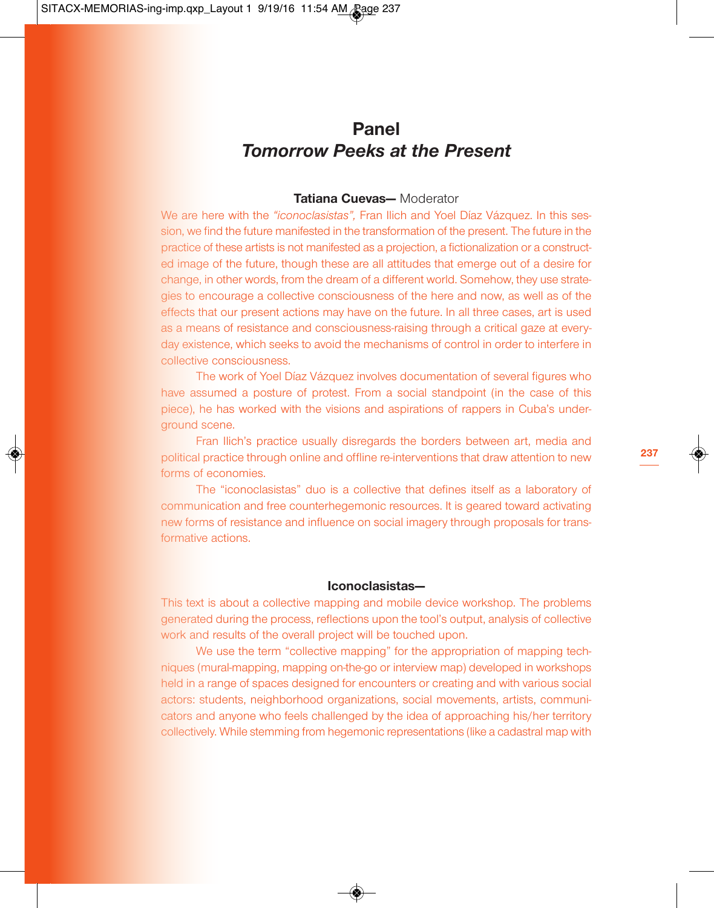# **Panel** *Tomorrow Peeks at the Present*

## **Tatiana Cuevas—** Moderator

We are here with the *"iconoclasistas",* Fran Ilich and Yoel Díaz Vázquez. In this session, we find the future manifested in the transformation of the present. The future in the practice of these artists is not manifested as a projection, a fictionalization or a constructed image of the future, though these are all attitudes that emerge out of a desire for change, in other words, from the dream of a different world. Somehow, they use strategies to encourage a collective consciousness of the here and now, as well as of the effects that our present actions may have on the future. In all three cases, art is used as a means of resistance and consciousness-raising through a critical gaze at everyday existence, which seeks to avoid the mechanisms of control in order to interfere in collective consciousness.

The work of Yoel Díaz Vázquez involves documentation of several figures who have assumed a posture of protest. From a social standpoint (in the case of this piece), he has worked with the visions and aspirations of rappers in Cuba's underground scene.

Fran Ilich's practice usually disregards the borders between art, media and political practice through online and offline re-interventions that draw attention to new forms of economies.

The "iconoclasistas" duo is a collective that defines itself as a laboratory of communication and free counterhegemonic resources. It is geared toward activating new forms of resistance and influence on social imagery through proposals for transformative actions.

# **Iconoclasistas—**

This text is about a collective mapping and mobile device workshop. The problems generated during the process, reflections upon the tool's output, analysis of collective work and results of the overall project will be touched upon.

We use the term "collective mapping" for the appropriation of mapping techniques (mural-mapping, mapping on-the-go or interview map) developed in workshops held in a range of spaces designed for encounters or creating and with various social actors: students, neighborhood organizations, social movements, artists, communicators and anyone who feels challenged by the idea of approaching his/her territory collectively. While stemming from hegemonic representations (like a cadastral map with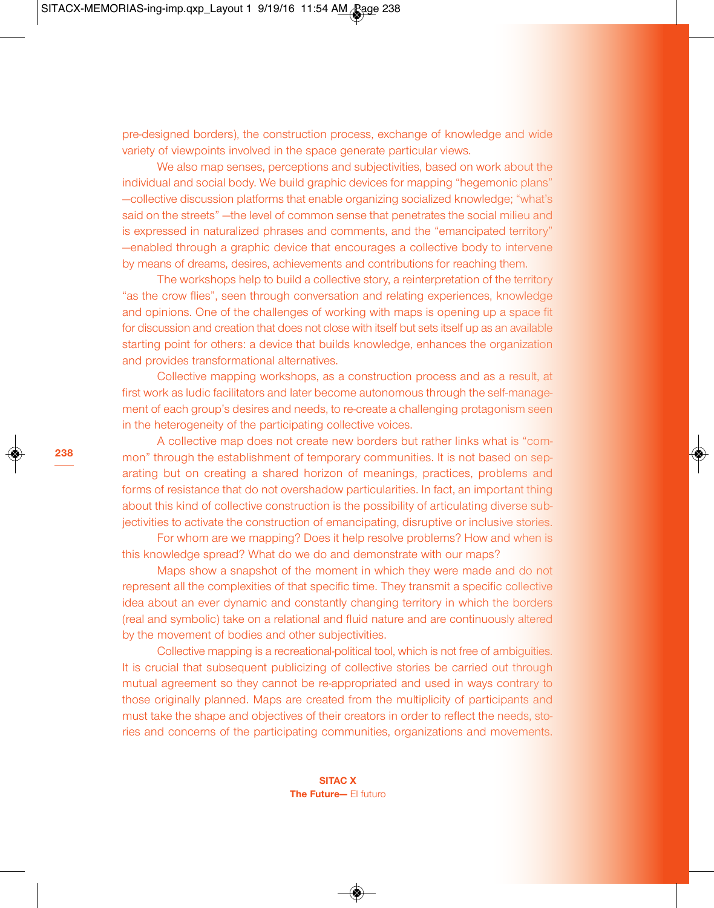pre-designed borders), the construction process, exchange of knowledge and wide variety of viewpoints involved in the space generate particular views.

We also map senses, perceptions and subjectivities, based on work about the individual and social body. We build graphic devices for mapping "hegemonic plans" —collective discussion platforms that enable organizing socialized knowledge; "what's said on the streets" —the level of common sense that penetrates the social milieu and is expressed in naturalized phrases and comments, and the "emancipated territory" —enabled through a graphic device that encourages a collective body to intervene by means of dreams, desires, achievements and contributions for reaching them.

The workshops help to build a collective story, a reinterpretation of the territory "as the crow flies", seen through conversation and relating experiences, knowledge and opinions. One of the challenges of working with maps is opening up a space fit for discussion and creation that does not close with itself but sets itself up as an available starting point for others: a device that builds knowledge, enhances the organization and provides transformational alternatives.

Collective mapping workshops, as a construction process and as a result, at first work as ludic facilitators and later become autonomous through the self-management of each group's desires and needs, to re-create a challenging protagonism seen in the heterogeneity of the participating collective voices.

A collective map does not create new borders but rather links what is "common" through the establishment of temporary communities. It is not based on separating but on creating a shared horizon of meanings, practices, problems and forms of resistance that do not overshadow particularities. In fact, an important thing about this kind of collective construction is the possibility of articulating diverse subjectivities to activate the construction of emancipating, disruptive or inclusive stories.

For whom are we mapping? Does it help resolve problems? How and when is this knowledge spread? What do we do and demonstrate with our maps?

Maps show a snapshot of the moment in which they were made and do not represent all the complexities of that specific time. They transmit a specific collective idea about an ever dynamic and constantly changing territory in which the borders (real and symbolic) take on a relational and fluid nature and are continuously altered by the movement of bodies and other subjectivities.

Collective mapping is a recreational-political tool, which is not free of ambiguities. It is crucial that subsequent publicizing of collective stories be carried out through mutual agreement so they cannot be re-appropriated and used in ways contrary to those originally planned. Maps are created from the multiplicity of participants and must take the shape and objectives of their creators in order to reflect the needs, stories and concerns of the participating communities, organizations and movements.

> **SITAC X The Future—** El futuro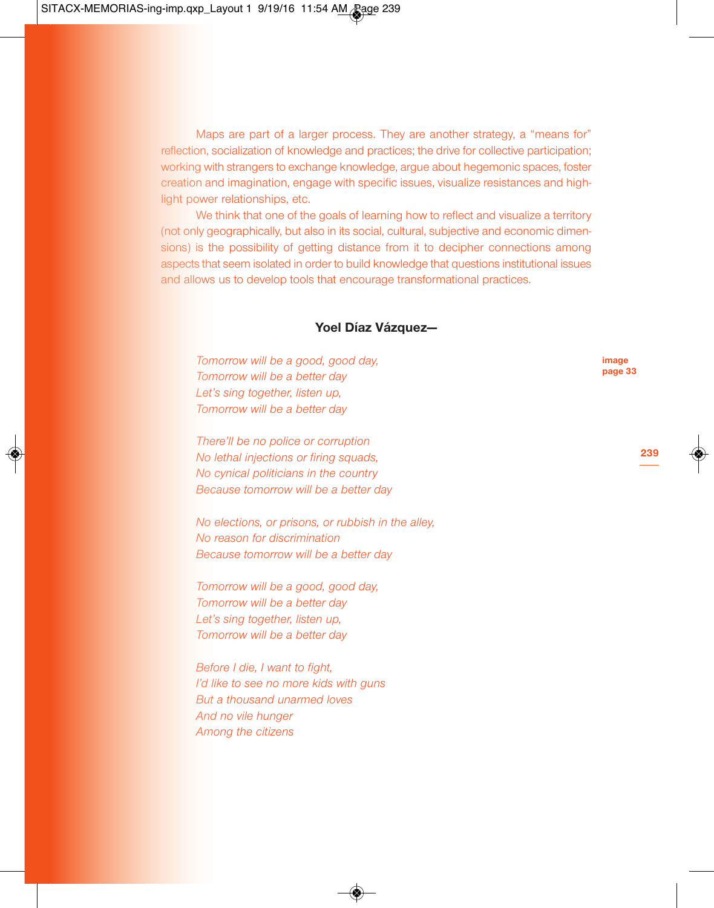Maps are part of a larger process. They are another strategy, a "means for" reflection, socialization of knowledge and practices; the drive for collective participation; working with strangers to exchange knowledge, argue about hegemonic spaces, foster creation and imagination, engage with specific issues, visualize resistances and highlight power relationships, etc.

We think that one of the goals of learning how to reflect and visualize a territory (not only geographically, but also in its social, cultural, subjective and economic dimensions) is the possibility of getting distance from it to decipher connections among aspects that seem isolated in order to build knowledge that questions institutional issues and allows us to develop tools that encourage transformational practices.

### **Yoel Díaz Vázquez—**

*Tomorrow will be a good, good day, Tomorrow will be a better day Let's sing together, listen up, Tomorrow will be a better day*

*There'll be no police or corruption No lethal injections or firing squads, No cynical politicians in the country Because tomorrow will be a better day*

*No elections, or prisons, or rubbish in the alley, No reason for discrimination Because tomorrow will be a better day*

*Tomorrow will be a good, good day, Tomorrow will be a better day Let's sing together, listen up, Tomorrow will be a better day*

*Before I die, I want to fight, I'd like to see no more kids with guns But a thousand unarmed loves And no vile hunger Among the citizens*

**image page 33**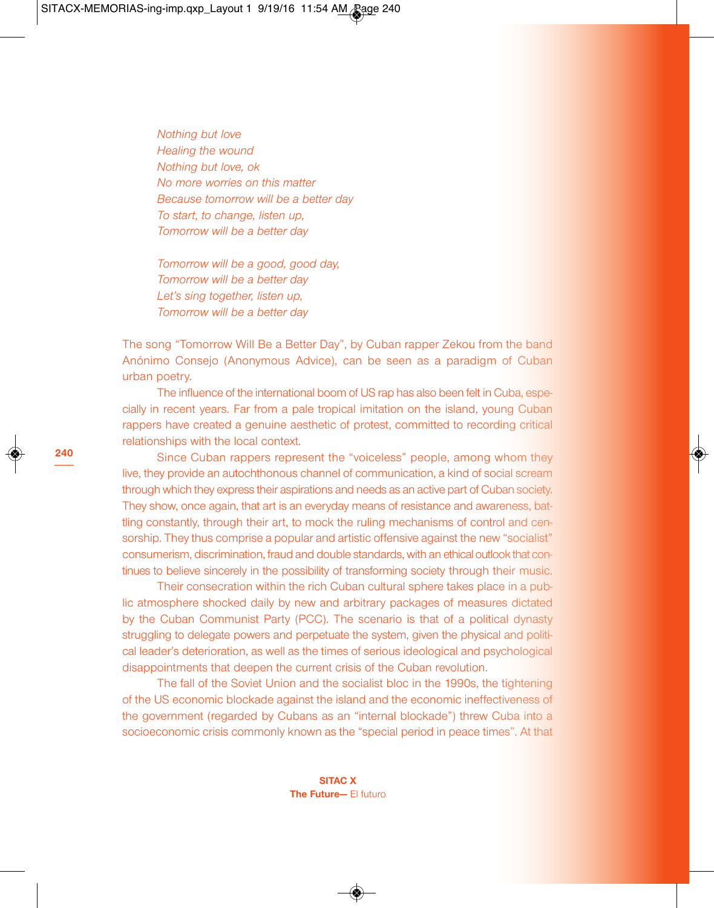*Nothing but love Healing the wound Nothing but love, ok No more worries on this matter Because tomorrow will be a better day To start, to change, listen up, Tomorrow will be a better day*

*Tomorrow will be a good, good day, Tomorrow will be a better day Let's sing together, listen up, Tomorrow will be a better day*

The song "Tomorrow Will Be a Better Day", by Cuban rapper Zekou from the band Anónimo Consejo (Anonymous Advice), can be seen as a paradigm of Cuban urban poetry.

The influence of the international boom of US rap has also been felt in Cuba, especially in recent years. Far from a pale tropical imitation on the island, young Cuban rappers have created a genuine aesthetic of protest, committed to recording critical relationships with the local context.

Since Cuban rappers represent the "voiceless" people, among whom they live, they provide an autochthonous channel of communication, a kind of social scream through which they express their aspirations and needs as an active part of Cuban society. They show, once again, that art is an everyday means of resistance and awareness, battling constantly, through their art, to mock the ruling mechanisms of control and censorship. They thus comprise a popular and artistic offensive against the new "socialist" consumerism, discrimination, fraud and double standards, with an ethical outlook that continues to believe sincerely in the possibility of transforming society through their music.

Their consecration within the rich Cuban cultural sphere takes place in a public atmosphere shocked daily by new and arbitrary packages of measures dictated by the Cuban Communist Party (PCC). The scenario is that of a political dynasty struggling to delegate powers and perpetuate the system, given the physical and political leader's deterioration, as well as the times of serious ideological and psychological disappointments that deepen the current crisis of the Cuban revolution.

The fall of the Soviet Union and the socialist bloc in the 1990s, the tightening of the US economic blockade against the island and the economic ineffectiveness of the government (regarded by Cubans as an "internal blockade") threw Cuba into a socioeconomic crisis commonly known as the "special period in peace times". At that

> **SITAC X The Future—** El futuro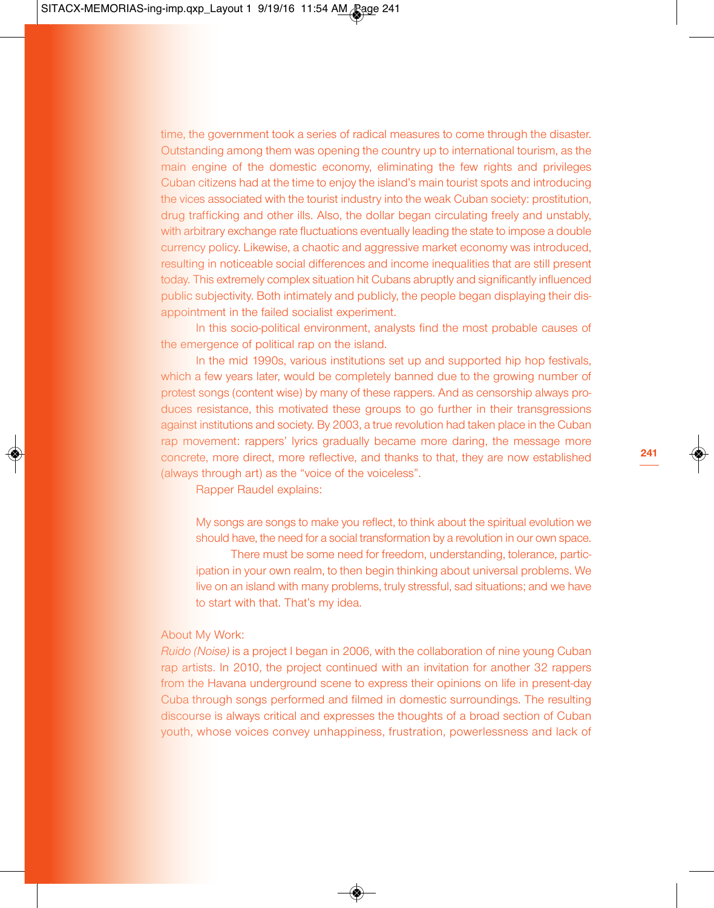time, the government took a series of radical measures to come through the disaster. Outstanding among them was opening the country up to international tourism, as the main engine of the domestic economy, eliminating the few rights and privileges Cuban citizens had at the time to enjoy the island's main tourist spots and introducing the vices associated with the tourist industry into the weak Cuban society: prostitution, drug trafficking and other ills. Also, the dollar began circulating freely and unstably, with arbitrary exchange rate fluctuations eventually leading the state to impose a double currency policy. Likewise, a chaotic and aggressive market economy was introduced, resulting in noticeable social differences and income inequalities that are still present today. This extremely complex situation hit Cubans abruptly and significantly influenced public subjectivity. Both intimately and publicly, the people began displaying their disappointment in the failed socialist experiment.

In this socio-political environment, analysts find the most probable causes of the emergence of political rap on the island.

In the mid 1990s, various institutions set up and supported hip hop festivals, which a few years later, would be completely banned due to the growing number of protest songs (content wise) by many of these rappers. And as censorship always produces resistance, this motivated these groups to go further in their transgressions against institutions and society. By 2003, a true revolution had taken place in the Cuban rap movement: rappers' lyrics gradually became more daring, the message more concrete, more direct, more reflective, and thanks to that, they are now established (always through art) as the "voice of the voiceless".

Rapper Raudel explains:

My songs are songs to make you reflect, to think about the spiritual evolution we should have, the need for a social transformation by a revolution in our own space. There must be some need for freedom, understanding, tolerance, participation in your own realm, to then begin thinking about universal problems. We live on an island with many problems, truly stressful, sad situations; and we have to start with that. That's my idea.

#### About My Work:

*Ruido (Noise)* is a project I began in 2006, with the collaboration of nine young Cuban rap artists. In 2010, the project continued with an invitation for another 32 rappers from the Havana underground scene to express their opinions on life in present-day Cuba through songs performed and filmed in domestic surroundings. The resulting discourse is always critical and expresses the thoughts of a broad section of Cuban youth, whose voices convey unhappiness, frustration, powerlessness and lack of